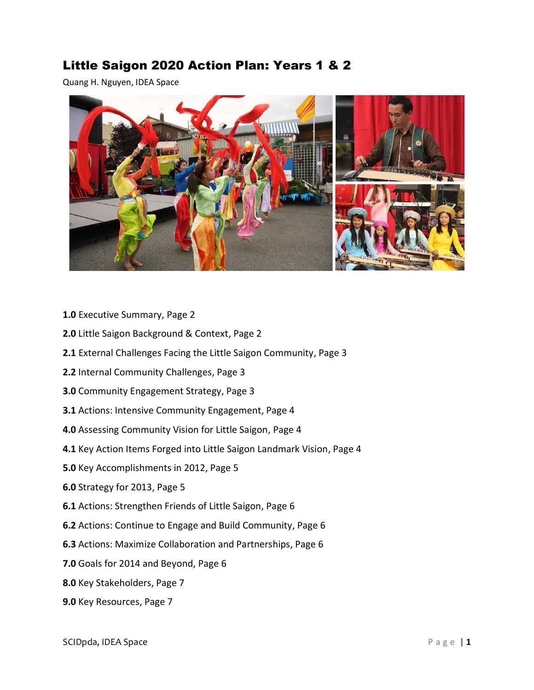# Little Saigon 2020 Action Plan: Years 1 & 2

Quang H. Nguyen, IDEA Space



- **1.0** Executive Summary, Page 2
- **2.0** Little Saigon Background & Context, Page 2
- **2.1** External Challenges Facing the Little Saigon Community, Page 3
- **2.2** Internal Community Challenges, Page 3
- **3.0** Community Engagement Strategy, Page 3
- **3.1** Actions: Intensive Community Engagement, Page 4
- **4.0** Assessing Community Vision for Little Saigon, Page 4
- **4.1** Key Action Items Forged into Little Saigon Landmark Vision, Page 4
- **5.0** Key Accomplishments in 2012, Page 5
- **6.0** Strategy for 2013, Page 5
- **6.1** Actions: Strengthen Friends of Little Saigon, Page 6
- **6.2** Actions: Continue to Engage and Build Community, Page 6
- **6.3** Actions: Maximize Collaboration and Partnerships, Page 6
- **7.0** Goals for 2014 and Beyond, Page 6
- **8.0** Key Stakeholders, Page 7
- **9.0** Key Resources, Page 7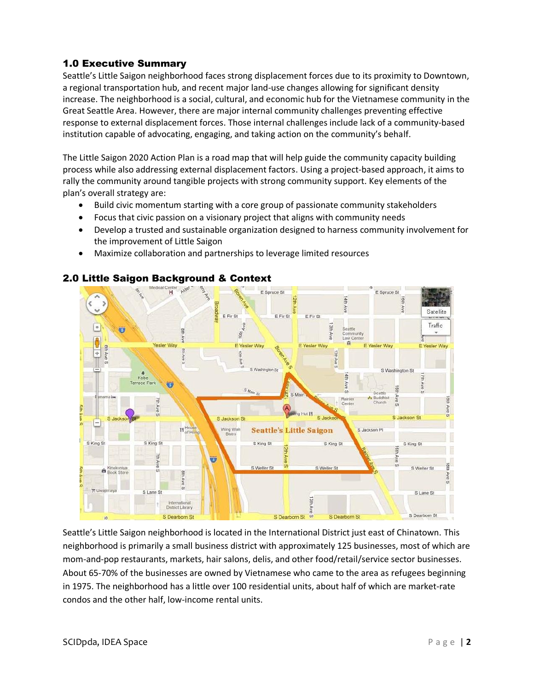## 1.0 Executive Summary

Seattle's Little Saigon neighborhood faces strong displacement forces due to its proximity to Downtown, a regional transportation hub, and recent major land-use changes allowing for significant density increase. The neighborhood is a social, cultural, and economic hub for the Vietnamese community in the Great Seattle Area. However, there are major internal community challenges preventing effective response to external displacement forces. Those internal challenges include lack of a community-based institution capable of advocating, engaging, and taking action on the community's behalf.

The Little Saigon 2020 Action Plan is a road map that will help guide the community capacity building process while also addressing external displacement factors. Using a project-based approach, it aims to rally the community around tangible projects with strong community support. Key elements of the plan's overall strategy are:

- Build civic momentum starting with a core group of passionate community stakeholders
- Focus that civic passion on a visionary project that aligns with community needs
- Develop a trusted and sustainable organization designed to harness community involvement for the improvement of Little Saigon
- Maximize collaboration and partnerships to leverage limited resources



## 2.0 Little Saigon Background & Context

Seattle's Little Saigon neighborhood is located in the International District just east of Chinatown. This neighborhood is primarily a small business district with approximately 125 businesses, most of which are mom-and-pop restaurants, markets, hair salons, delis, and other food/retail/service sector businesses. About 65-70% of the businesses are owned by Vietnamese who came to the area as refugees beginning in 1975. The neighborhood has a little over 100 residential units, about half of which are market-rate condos and the other half, low-income rental units.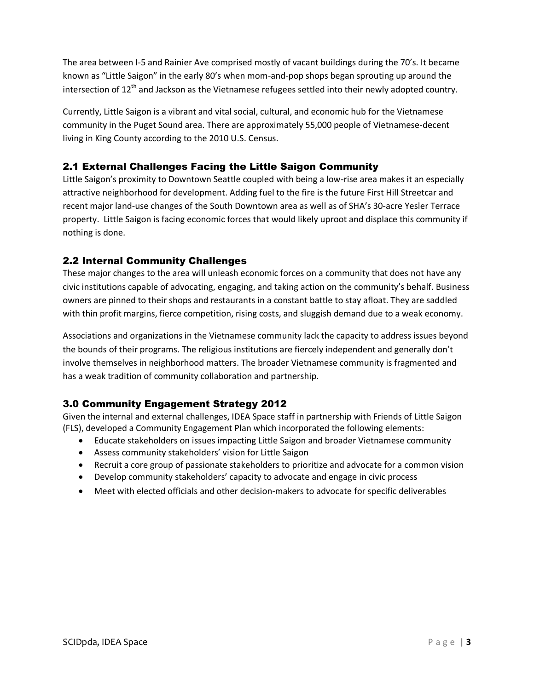The area between I-5 and Rainier Ave comprised mostly of vacant buildings during the 70's. It became known as "Little Saigon" in the early 80's when mom-and-pop shops began sprouting up around the intersection of  $12^{th}$  and Jackson as the Vietnamese refugees settled into their newly adopted country.

Currently, Little Saigon is a vibrant and vital social, cultural, and economic hub for the Vietnamese community in the Puget Sound area. There are approximately 55,000 people of Vietnamese-decent living in King County according to the 2010 U.S. Census.

## 2.1 External Challenges Facing the Little Saigon Community

Little Saigon's proximity to Downtown Seattle coupled with being a low-rise area makes it an especially attractive neighborhood for development. Adding fuel to the fire is the future First Hill Streetcar and recent major land-use changes of the South Downtown area as well as of SHA's 30-acre Yesler Terrace property. Little Saigon is facing economic forces that would likely uproot and displace this community if nothing is done.

# 2.2 Internal Community Challenges

These major changes to the area will unleash economic forces on a community that does not have any civic institutions capable of advocating, engaging, and taking action on the community's behalf. Business owners are pinned to their shops and restaurants in a constant battle to stay afloat. They are saddled with thin profit margins, fierce competition, rising costs, and sluggish demand due to a weak economy.

Associations and organizations in the Vietnamese community lack the capacity to address issues beyond the bounds of their programs. The religious institutions are fiercely independent and generally don't involve themselves in neighborhood matters. The broader Vietnamese community is fragmented and has a weak tradition of community collaboration and partnership.

# 3.0 Community Engagement Strategy 2012

Given the internal and external challenges, IDEA Space staff in partnership with Friends of Little Saigon (FLS), developed a Community Engagement Plan which incorporated the following elements:

- Educate stakeholders on issues impacting Little Saigon and broader Vietnamese community
- Assess community stakeholders' vision for Little Saigon
- Recruit a core group of passionate stakeholders to prioritize and advocate for a common vision
- Develop community stakeholders' capacity to advocate and engage in civic process
- Meet with elected officials and other decision-makers to advocate for specific deliverables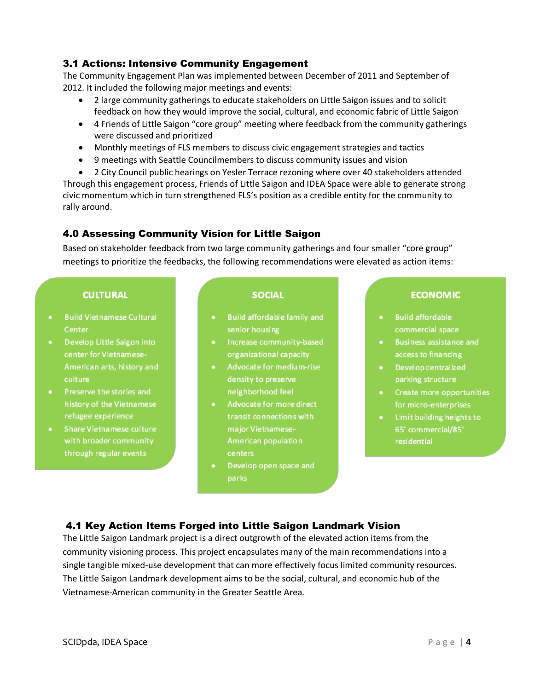## 3.1 Actions: Intensive Community Engagement

The Community Engagement Plan was implemented between December of 2011 and September of 2012. It included the following major meetings and events:

- 2 large community gatherings to educate stakeholders on Little Saigon issues and to solicit feedback on how they would improve the social, cultural, and economic fabric of Little Saigon
- 4 Friends of Little Saigon "core group" meeting where feedback from the community gatherings were discussed and prioritized
- Monthly meetings of FLS members to discuss civic engagement strategies and tactics
- 9 meetings with Seattle Councilmembers to discuss community issues and vision
- 2 City Council public hearings on Yesler Terrace rezoning where over 40 stakeholders attended

Through this engagement process, Friends of Little Saigon and IDEA Space were able to generate strong civic momentum which in turn strengthened FLS's position as a credible entity for the community to rally around.

## 4.0 Assessing Community Vision for Little Saigon

Based on stakeholder feedback from two large community gatherings and four smaller "core group" meetings to prioritize the feedbacks, the following recommendations were elevated as action items:

#### **CULTURAL**

- **Build Vietnamese Cultural** Center
- Develop Little Saigon into center for Vietnamese-American arts, history and culture
- Preserve the stories and history of the Vietnamese refugee experience
- Share Vietnamese culture through regular events

#### **SOCIAL**

- Build affordable family and senior housing
- · Increase community-based organizational capacity
- Advocate for medium-rise density to preserve neighborhood feel
- Advocate for more direct transit connections with major Vietnamese-American population centers
- Develop open space and parks

#### **ECONOMIC**

- **Build affordable** a i commercial space
- Business assistance and access to financing
- Develop centralized parking structure
- Create more opportunities for micro-enterprises
- Limit building heights to 65' commercial/85'

## 4.1 Key Action Items Forged into Little Saigon Landmark Vision

The Little Saigon Landmark project is a direct outgrowth of the elevated action items from the community visioning process. This project encapsulates many of the main recommendations into a single tangible mixed-use development that can more effectively focus limited community resources. The Little Saigon Landmark development aims to be the social, cultural, and economic hub of the Vietnamese-American community in the Greater Seattle Area.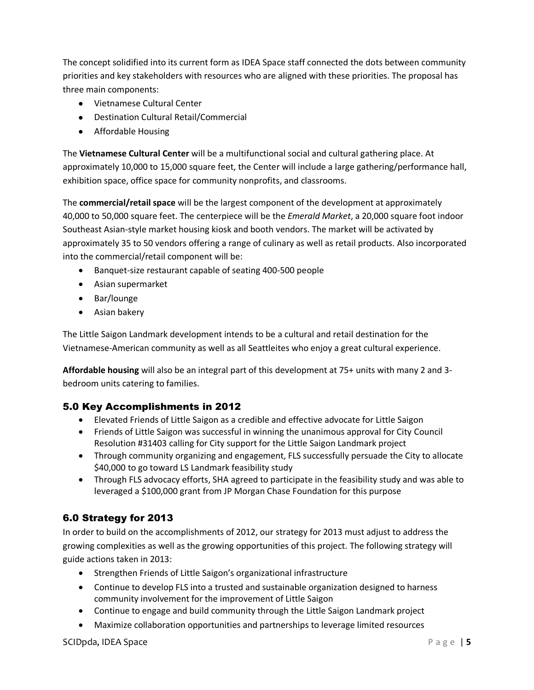The concept solidified into its current form as IDEA Space staff connected the dots between community priorities and key stakeholders with resources who are aligned with these priorities. The proposal has three main components:

- Vietnamese Cultural Center
- Destination Cultural Retail/Commercial
- **•** Affordable Housing

The **Vietnamese Cultural Center** will be a multifunctional social and cultural gathering place. At approximately 10,000 to 15,000 square feet, the Center will include a large gathering/performance hall, exhibition space, office space for community nonprofits, and classrooms.

The **commercial/retail space** will be the largest component of the development at approximately 40,000 to 50,000 square feet. The centerpiece will be the *Emerald Market*, a 20,000 square foot indoor Southeast Asian-style market housing kiosk and booth vendors. The market will be activated by approximately 35 to 50 vendors offering a range of culinary as well as retail products. Also incorporated into the commercial/retail component will be:

- Banquet-size restaurant capable of seating 400-500 people
- Asian supermarket
- Bar/lounge
- Asian bakery

The Little Saigon Landmark development intends to be a cultural and retail destination for the Vietnamese-American community as well as all Seattleites who enjoy a great cultural experience.

**Affordable housing** will also be an integral part of this development at 75+ units with many 2 and 3 bedroom units catering to families.

#### 5.0 Key Accomplishments in 2012

- Elevated Friends of Little Saigon as a credible and effective advocate for Little Saigon
- Friends of Little Saigon was successful in winning the unanimous approval for City Council Resolution #31403 calling for City support for the Little Saigon Landmark project
- Through community organizing and engagement, FLS successfully persuade the City to allocate \$40,000 to go toward LS Landmark feasibility study
- Through FLS advocacy efforts, SHA agreed to participate in the feasibility study and was able to leveraged a \$100,000 grant from JP Morgan Chase Foundation for this purpose

## 6.0 Strategy for 2013

In order to build on the accomplishments of 2012, our strategy for 2013 must adjust to address the growing complexities as well as the growing opportunities of this project. The following strategy will guide actions taken in 2013:

- Strengthen Friends of Little Saigon's organizational infrastructure
- Continue to develop FLS into a trusted and sustainable organization designed to harness community involvement for the improvement of Little Saigon
- Continue to engage and build community through the Little Saigon Landmark project
- Maximize collaboration opportunities and partnerships to leverage limited resources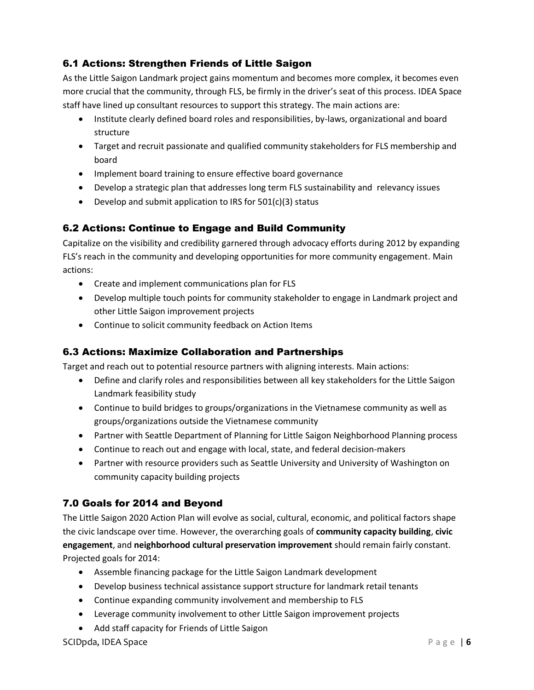# 6.1 Actions: Strengthen Friends of Little Saigon

As the Little Saigon Landmark project gains momentum and becomes more complex, it becomes even more crucial that the community, through FLS, be firmly in the driver's seat of this process. IDEA Space staff have lined up consultant resources to support this strategy. The main actions are:

- Institute clearly defined board roles and responsibilities, by-laws, organizational and board structure
- Target and recruit passionate and qualified community stakeholders for FLS membership and board
- Implement board training to ensure effective board governance
- Develop a strategic plan that addresses long term FLS sustainability and relevancy issues
- $\bullet$  Develop and submit application to IRS for 501(c)(3) status

# 6.2 Actions: Continue to Engage and Build Community

Capitalize on the visibility and credibility garnered through advocacy efforts during 2012 by expanding FLS's reach in the community and developing opportunities for more community engagement. Main actions:

- Create and implement communications plan for FLS
- Develop multiple touch points for community stakeholder to engage in Landmark project and other Little Saigon improvement projects
- Continue to solicit community feedback on Action Items

## 6.3 Actions: Maximize Collaboration and Partnerships

Target and reach out to potential resource partners with aligning interests. Main actions:

- Define and clarify roles and responsibilities between all key stakeholders for the Little Saigon Landmark feasibility study
- Continue to build bridges to groups/organizations in the Vietnamese community as well as groups/organizations outside the Vietnamese community
- Partner with Seattle Department of Planning for Little Saigon Neighborhood Planning process
- Continue to reach out and engage with local, state, and federal decision-makers
- Partner with resource providers such as Seattle University and University of Washington on community capacity building projects

## 7.0 Goals for 2014 and Beyond

The Little Saigon 2020 Action Plan will evolve as social, cultural, economic, and political factors shape the civic landscape over time. However, the overarching goals of **community capacity building**, **civic engagement**, and **neighborhood cultural preservation improvement** should remain fairly constant. Projected goals for 2014:

- Assemble financing package for the Little Saigon Landmark development
- Develop business technical assistance support structure for landmark retail tenants
- Continue expanding community involvement and membership to FLS
- Leverage community involvement to other Little Saigon improvement projects
- Add staff capacity for Friends of Little Saigon

#### **SCIDpda, IDEA Space P** a g e | **6**